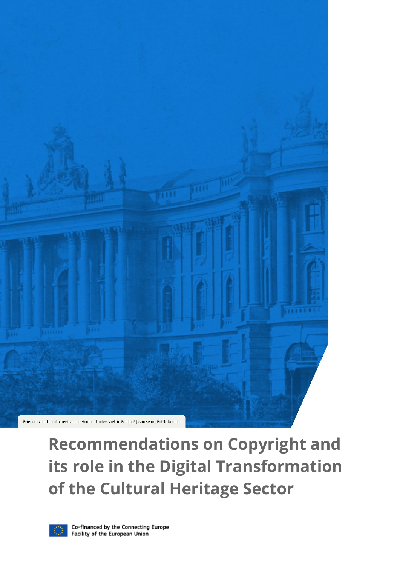

# **Recommendations on Copyright and its role in the Digital Transformation of the Cultural Heritage Sector**

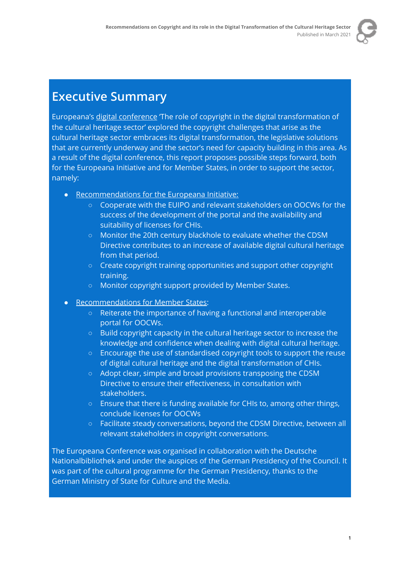

#### **Executive Summary**

Europeana's digital [conference](https://pro.europeana.eu/event/europeana-web-conference-under-the-german-presidency-2020) 'The role of copyright in the digital transformation of the cultural heritage sector' explored the copyright challenges that arise as the cultural heritage sector embraces its digital transformation, the legislative solutions that are currently underway and the sector's need for capacity building in this area. As a result of the digital conference, this report proposes possible steps forward, both for the Europeana Initiative and for Member States, in order to support the sector, namely:

- [Recommendations](#page-5-0) for the Europeana Initiative:
	- Cooperate with the EUIPO and relevant stakeholders on OOCWs for the success of the development of the portal and the availability and suitability of licenses for CHIs.
	- Monitor the 20th century blackhole to evaluate whether the CDSM Directive contributes to an increase of available digital cultural heritage from that period.
	- Create copyright training opportunities and support other copyright training.
	- Monitor copyright support provided by Member States.
- [Recommendations](#page-5-1) for Member States:
	- Reiterate the importance of having a functional and interoperable portal for OOCWs.
	- Build copyright capacity in the cultural heritage sector to increase the knowledge and confidence when dealing with digital cultural heritage.
	- Encourage the use of standardised copyright tools to support the reuse of digital cultural heritage and the digital transformation of CHIs.
	- Adopt clear, simple and broad provisions transposing the CDSM Directive to ensure their effectiveness, in consultation with stakeholders.
	- Ensure that there is funding available for CHIs to, among other things, conclude licenses for OOCWs
	- Facilitate steady conversations, beyond the CDSM Directive, between all relevant stakeholders in copyright conversations.

The Europeana Conference was organised in collaboration with the Deutsche Nationalbibliothek and under the auspices of the German Presidency of the Council. It was part of the cultural programme for the German Presidency, thanks to the German Ministry of State for Culture and the Media.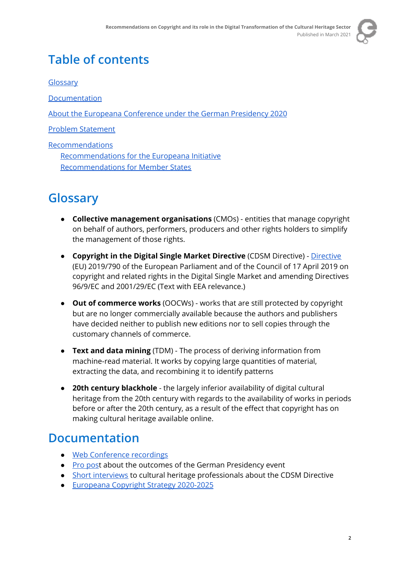

### **Table of contents**

[Glossary](#page-2-0)

[Documentation](#page-2-1)

About the Europeana [Conference](#page-3-0) under the German Presidency 2020

Problem [Statement](#page-4-0)

**[Recommendations](#page-4-1)** [Recommendations](#page-5-0) for the Europeana Initiative [Recommendations](#page-5-1) for Member States

### <span id="page-2-0"></span>**Glossary**

- **Collective management organisations** (CMOs) entities that manage copyright on behalf of authors, performers, producers and other rights holders to simplify the management of those rights.
- **Copyright in the Digital Single Market Directive** (CDSM Directive) [Directive](https://eur-lex.europa.eu/eli/dir/2019/790/oj) (EU) 2019/790 of the European Parliament and of the Council of 17 April 2019 on copyright and related rights in the Digital Single Market and amending Directives 96/9/EC and 2001/29/EC (Text with EEA relevance.)
- **Out of commerce works** (OOCWs) works that are still protected by copyright but are no longer commercially available because the authors and publishers have decided neither to publish new editions nor to sell copies through the customary channels of commerce.
- **Text and data mining** (TDM) The process of deriving information from machine-read material. It works by copying large quantities of material, extracting the data, and recombining it to identify patterns
- **20th century blackhole** the largely inferior availability of digital cultural heritage from the 20th century with regards to the availability of works in periods before or after the 20th century, as a result of the effect that copyright has on making cultural heritage available online.

#### <span id="page-2-1"></span>**Documentation**

- Web [Conference](https://pro.europeana.eu/event/europeana-web-conference-under-the-german-presidency-2020) recordings
- Pro [pos](https://pro.europeana.eu/post/copyright-in-the-cultural-heritage-sector-outcomes-of-the-german-presidency-event)t about the outcomes of the German Presidency event
- Short [interviews](https://vimeo.com/showcase/7616082) to cultural heritage professionals about the CDSM Directive
- [Europeana](https://pro.europeana.eu/post/europeana-copyright-2020-2025) Copyright Strategy 2020-2025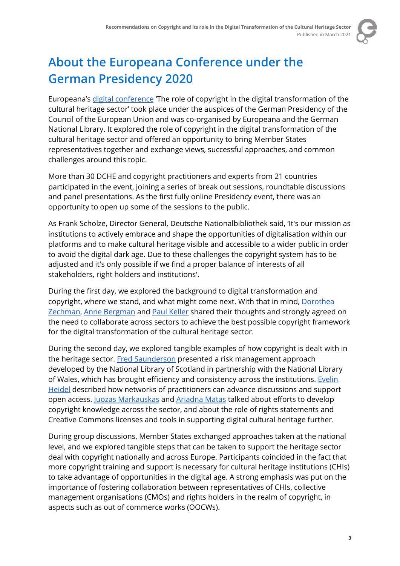

# <span id="page-3-0"></span>**About the Europeana Conference under the German Presidency 2020**

Europeana's digital [conference](https://pro.europeana.eu/event/europeana-web-conference-under-the-german-presidency-2020) 'The role of copyright in the digital transformation of the cultural heritage sector' took place under the auspices of the German Presidency of the Council of the European Union and was co-organised by Europeana and the German National Library. It explored the role of copyright in the digital transformation of the cultural heritage sector and offered an opportunity to bring Member States representatives together and exchange views, successful approaches, and common challenges around this topic.

More than 30 DCHE and copyright practitioners and experts from 21 countries participated in the event, joining a series of break out sessions, roundtable discussions and panel presentations. As the first fully online Presidency event, there was an opportunity to open up some of the sessions to the public.

As Frank Scholze, Director General, Deutsche Nationalbibliothek said, 'It's our mission as institutions to actively embrace and shape the opportunities of digitalisation within our platforms and to make cultural heritage visible and accessible to a wider public in order to avoid the digital dark age. Due to these challenges the copyright system has to be adjusted and it's only possible if we find a proper balance of interests of all stakeholders, right holders and institutions'.

During the first day, we explored the background to digital transformation and copyright, where we stand, and what might come next. With that in mind, [Dorothea](https://www.bibliotheksverband.de/fachgruppen/kommissionen/recht.html) [Zechman](https://www.bibliotheksverband.de/fachgruppen/kommissionen/recht.html), Anne [Bergman](https://fep-fee.eu/-Secretariat-) and Paul [Keller](https://pro.europeana.eu/person/paul-keller) shared their thoughts and strongly agreed on the need to collaborate across sectors to achieve the best possible copyright framework for the digital transformation of the cultural heritage sector.

During the second day, we explored tangible examples of how copyright is dealt with in the heritage sector. Fred [Saunderson](https://pro.europeana.eu/person/fred-saunderson) presented a risk management approach developed by the National Library of Scotland in partnership with the National Library of Wales, which has brought efficiency and consistency across the institutions. [Evelin](https://pro.europeana.eu/person/evelin-heidel) [Heidel](https://pro.europeana.eu/person/evelin-heidel) described how networks of practitioners can advance discussions and support open access. Juozas [Markauskas](https://pro.europeana.eu/person/juozas-markauskas) and [Ariadna](https://pro.europeana.eu/person/ariadna-matas) Matas talked about efforts to develop copyright knowledge across the sector, and about the role of rights statements and Creative Commons licenses and tools in supporting digital cultural heritage further.

During group discussions, Member States exchanged approaches taken at the national level, and we explored tangible steps that can be taken to support the heritage sector deal with copyright nationally and across Europe. Participants coincided in the fact that more copyright training and support is necessary for cultural heritage institutions (CHIs) to take advantage of opportunities in the digital age. A strong emphasis was put on the importance of fostering collaboration between representatives of CHIs, collective management organisations (CMOs) and rights holders in the realm of copyright, in aspects such as out of commerce works (OOCWs).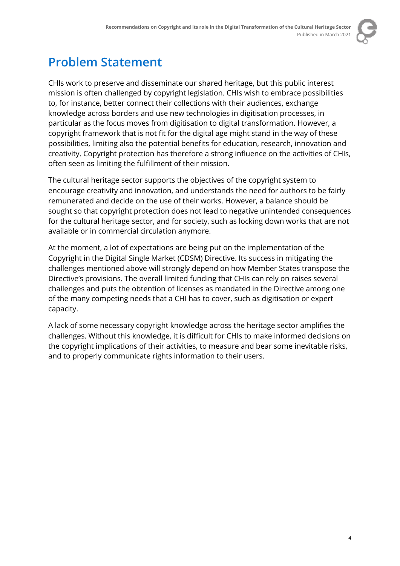

## <span id="page-4-0"></span>**Problem Statement**

CHIs work to preserve and disseminate our shared heritage, but this public interest mission is often challenged by copyright legislation. CHIs wish to embrace possibilities to, for instance, better connect their collections with their audiences, exchange knowledge across borders and use new technologies in digitisation processes, in particular as the focus moves from digitisation to digital transformation. However, a copyright framework that is not fit for the digital age might stand in the way of these possibilities, limiting also the potential benefits for education, research, innovation and creativity. Copyright protection has therefore a strong influence on the activities of CHIs, often seen as limiting the fulfillment of their mission.

The cultural heritage sector supports the objectives of the copyright system to encourage creativity and innovation, and understands the need for authors to be fairly remunerated and decide on the use of their works. However, a balance should be sought so that copyright protection does not lead to negative unintended consequences for the cultural heritage sector, and for society, such as locking down works that are not available or in commercial circulation anymore.

At the moment, a lot of expectations are being put on the implementation of the Copyright in the Digital Single Market (CDSM) Directive. Its success in mitigating the challenges mentioned above will strongly depend on how Member States transpose the Directive's provisions. The overall limited funding that CHIs can rely on raises several challenges and puts the obtention of licenses as mandated in the Directive among one of the many competing needs that a CHI has to cover, such as digitisation or expert capacity.

<span id="page-4-1"></span>A lack of some necessary copyright knowledge across the heritage sector amplifies the challenges. Without this knowledge, it is difficult for CHIs to make informed decisions on the copyright implications of their activities, to measure and bear some inevitable risks, and to properly communicate rights information to their users.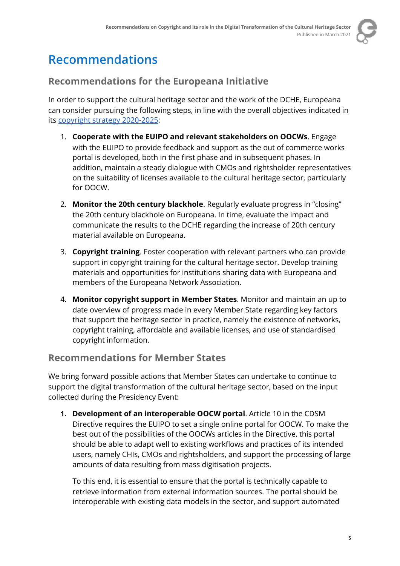

### **Recommendations**

#### <span id="page-5-0"></span>**Recommendations for the Europeana Initiative**

In order to support the cultural heritage sector and the work of the DCHE, Europeana can consider pursuing the following steps, in line with the overall objectives indicated in its copyright strategy [2020-2025:](https://pro.europeana.eu/post/europeana-copyright-2020-2025)

- 1. **Cooperate with the EUIPO and relevant stakeholders on OOCWs**. Engage with the EUIPO to provide feedback and support as the out of commerce works portal is developed, both in the first phase and in subsequent phases. In addition, maintain a steady dialogue with CMOs and rightsholder representatives on the suitability of licenses available to the cultural heritage sector, particularly for OOCW.
- 2. **Monitor the 20th century blackhole**. Regularly evaluate progress in "closing" the 20th century blackhole on Europeana. In time, evaluate the impact and communicate the results to the DCHE regarding the increase of 20th century material available on Europeana.
- 3. **Copyright training**. Foster cooperation with relevant partners who can provide support in copyright training for the cultural heritage sector. Develop training materials and opportunities for institutions sharing data with Europeana and members of the Europeana Network Association.
- 4. **Monitor copyright support in Member States**. Monitor and maintain an up to date overview of progress made in every Member State regarding key factors that support the heritage sector in practice, namely the existence of networks, copyright training, affordable and available licenses, and use of standardised copyright information.

#### <span id="page-5-1"></span>**Recommendations for Member States**

We bring forward possible actions that Member States can undertake to continue to support the digital transformation of the cultural heritage sector, based on the input collected during the Presidency Event:

**1. Development of an interoperable OOCW portal**. Article 10 in the CDSM Directive requires the EUIPO to set a single online portal for OOCW. To make the best out of the possibilities of the OOCWs articles in the Directive, this portal should be able to adapt well to existing workflows and practices of its intended users, namely CHIs, CMOs and rightsholders, and support the processing of large amounts of data resulting from mass digitisation projects.

To this end, it is essential to ensure that the portal is technically capable to retrieve information from external information sources. The portal should be interoperable with existing data models in the sector, and support automated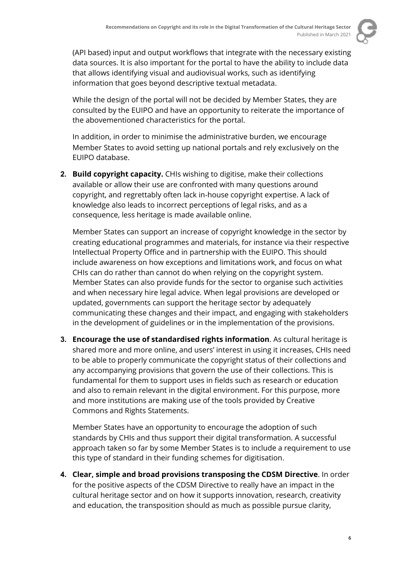

(API based) input and output workflows that integrate with the necessary existing data sources. It is also important for the portal to have the ability to include data that allows identifying visual and audiovisual works, such as identifying information that goes beyond descriptive textual metadata.

While the design of the portal will not be decided by Member States, they are consulted by the EUIPO and have an opportunity to reiterate the importance of the abovementioned characteristics for the portal.

In addition, in order to minimise the administrative burden, we encourage Member States to avoid setting up national portals and rely exclusively on the EUIPO database.

**2. Build copyright capacity.** CHIs wishing to digitise, make their collections available or allow their use are confronted with many questions around copyright, and regrettably often lack in-house copyright expertise. A lack of knowledge also leads to incorrect perceptions of legal risks, and as a consequence, less heritage is made available online.

Member States can support an increase of copyright knowledge in the sector by creating educational programmes and materials, for instance via their respective Intellectual Property Office and in partnership with the EUIPO. This should include awareness on how exceptions and limitations work, and focus on what CHIs can do rather than cannot do when relying on the copyright system. Member States can also provide funds for the sector to organise such activities and when necessary hire legal advice. When legal provisions are developed or updated, governments can support the heritage sector by adequately communicating these changes and their impact, and engaging with stakeholders in the development of guidelines or in the implementation of the provisions.

**3. Encourage the use of standardised rights information**. As cultural heritage is shared more and more online, and users' interest in using it increases, CHIs need to be able to properly communicate the copyright status of their collections and any accompanying provisions that govern the use of their collections. This is fundamental for them to support uses in fields such as research or education and also to remain relevant in the digital environment. For this purpose, more and more institutions are making use of the tools provided by Creative Commons and Rights Statements.

Member States have an opportunity to encourage the adoption of such standards by CHIs and thus support their digital transformation. A successful approach taken so far by some Member States is to include a requirement to use this type of standard in their funding schemes for digitisation.

**4. Clear, simple and broad provisions transposing the CDSM Directive**. In order for the positive aspects of the CDSM Directive to really have an impact in the cultural heritage sector and on how it supports innovation, research, creativity and education, the transposition should as much as possible pursue clarity,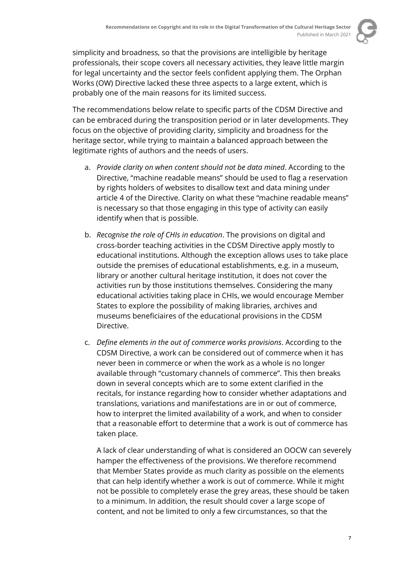

simplicity and broadness, so that the provisions are intelligible by heritage professionals, their scope covers all necessary activities, they leave little margin for legal uncertainty and the sector feels confident applying them. The Orphan Works (OW) Directive lacked these three aspects to a large extent, which is probably one of the main reasons for its limited success.

The recommendations below relate to specific parts of the CDSM Directive and can be embraced during the transposition period or in later developments. They focus on the objective of providing clarity, simplicity and broadness for the heritage sector, while trying to maintain a balanced approach between the legitimate rights of authors and the needs of users.

- a. *Provide clarity on when content should not be data mined*. According to the Directive, "machine readable means" should be used to flag a reservation by rights holders of websites to disallow text and data mining under article 4 of the Directive. Clarity on what these "machine readable means" is necessary so that those engaging in this type of activity can easily identify when that is possible.
- b. *Recognise the role of CHIs in education*. The provisions on digital and cross-border teaching activities in the CDSM Directive apply mostly to educational institutions. Although the exception allows uses to take place outside the premises of educational establishments, e.g. in a museum, library or another cultural heritage institution, it does not cover the activities run by those institutions themselves. Considering the many educational activities taking place in CHIs, we would encourage Member States to explore the possibility of making libraries, archives and museums beneficiaires of the educational provisions in the CDSM Directive.
- c. *Define elements in the out of commerce works provisions*. According to the CDSM Directive, a work can be considered out of commerce when it has never been in commerce or when the work as a whole is no longer available through "customary channels of commerce". This then breaks down in several concepts which are to some extent clarified in the recitals, for instance regarding how to consider whether adaptations and translations, variations and manifestations are in or out of commerce, how to interpret the limited availability of a work, and when to consider that a reasonable effort to determine that a work is out of commerce has taken place.

A lack of clear understanding of what is considered an OOCW can severely hamper the effectiveness of the provisions. We therefore recommend that Member States provide as much clarity as possible on the elements that can help identify whether a work is out of commerce. While it might not be possible to completely erase the grey areas, these should be taken to a minimum. In addition, the result should cover a large scope of content, and not be limited to only a few circumstances, so that the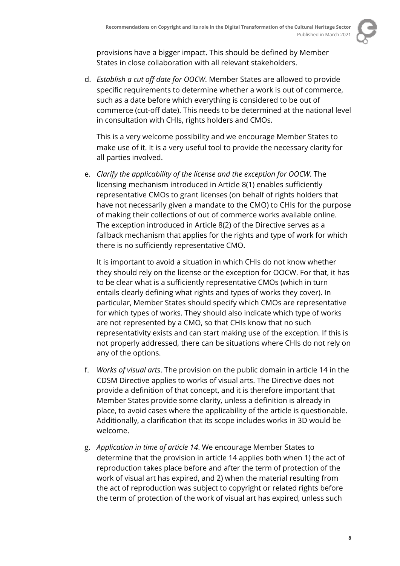

provisions have a bigger impact. This should be defined by Member States in close collaboration with all relevant stakeholders.

d. *Establish a cut off date for OOCW*. Member States are allowed to provide specific requirements to determine whether a work is out of commerce, such as a date before which everything is considered to be out of commerce (cut-off date). This needs to be determined at the national level in consultation with CHIs, rights holders and CMOs.

This is a very welcome possibility and we encourage Member States to make use of it. It is a very useful tool to provide the necessary clarity for all parties involved.

e. *Clarify the applicability of the license and the exception for OOCW*. The licensing mechanism introduced in Article 8(1) enables sufficiently representative CMOs to grant licenses (on behalf of rights holders that have not necessarily given a mandate to the CMO) to CHIs for the purpose of making their collections of out of commerce works available online. The exception introduced in Article 8(2) of the Directive serves as a fallback mechanism that applies for the rights and type of work for which there is no sufficiently representative CMO.

It is important to avoid a situation in which CHIs do not know whether they should rely on the license or the exception for OOCW. For that, it has to be clear what is a sufficiently representative CMOs (which in turn entails clearly defining what rights and types of works they cover). In particular, Member States should specify which CMOs are representative for which types of works. They should also indicate which type of works are not represented by a CMO, so that CHIs know that no such representativity exists and can start making use of the exception. If this is not properly addressed, there can be situations where CHIs do not rely on any of the options.

- f. *Works of visual arts*. The provision on the public domain in article 14 in the CDSM Directive applies to works of visual arts. The Directive does not provide a definition of that concept, and it is therefore important that Member States provide some clarity, unless a definition is already in place, to avoid cases where the applicability of the article is questionable. Additionally, a clarification that its scope includes works in 3D would be welcome.
- g. *Application in time of article 14*. We encourage Member States to determine that the provision in article 14 applies both when 1) the act of reproduction takes place before and after the term of protection of the work of visual art has expired, and 2) when the material resulting from the act of reproduction was subject to copyright or related rights before the term of protection of the work of visual art has expired, unless such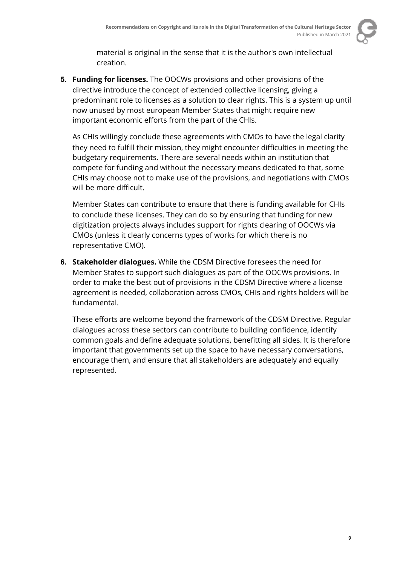

material is original in the sense that it is the author's own intellectual creation.

**5. Funding for licenses.** The OOCWs provisions and other provisions of the directive introduce the concept of extended collective licensing, giving a predominant role to licenses as a solution to clear rights. This is a system up until now unused by most european Member States that might require new important economic efforts from the part of the CHIs.

As CHIs willingly conclude these agreements with CMOs to have the legal clarity they need to fulfill their mission, they might encounter difficulties in meeting the budgetary requirements. There are several needs within an institution that compete for funding and without the necessary means dedicated to that, some CHIs may choose not to make use of the provisions, and negotiations with CMOs will be more difficult.

Member States can contribute to ensure that there is funding available for CHIs to conclude these licenses. They can do so by ensuring that funding for new digitization projects always includes support for rights clearing of OOCWs via CMOs (unless it clearly concerns types of works for which there is no representative CMO).

**6. Stakeholder dialogues.** While the CDSM Directive foresees the need for Member States to support such dialogues as part of the OOCWs provisions. In order to make the best out of provisions in the CDSM Directive where a license agreement is needed, collaboration across CMOs, CHIs and rights holders will be fundamental.

These efforts are welcome beyond the framework of the CDSM Directive. Regular dialogues across these sectors can contribute to building confidence, identify common goals and define adequate solutions, benefitting all sides. It is therefore important that governments set up the space to have necessary conversations, encourage them, and ensure that all stakeholders are adequately and equally represented.